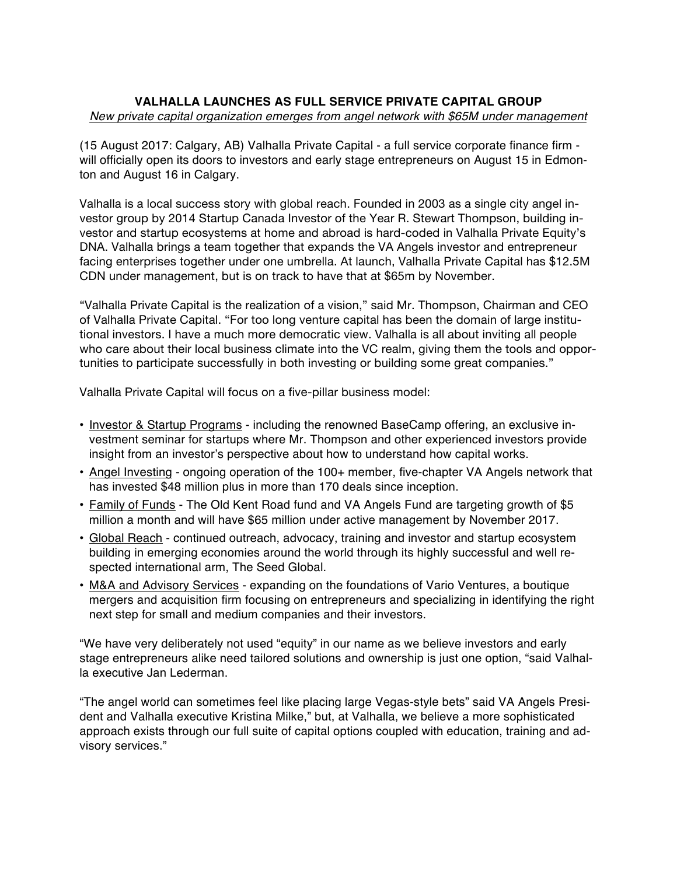## **VALHALLA LAUNCHES AS FULL SERVICE PRIVATE CAPITAL GROUP** *New private capital organization emerges from angel network with \$65M under management*

(15 August 2017: Calgary, AB) Valhalla Private Capital - a full service corporate finance firm will officially open its doors to investors and early stage entrepreneurs on August 15 in Edmonton and August 16 in Calgary.

Valhalla is a local success story with global reach. Founded in 2003 as a single city angel investor group by 2014 Startup Canada Investor of the Year R. Stewart Thompson, building investor and startup ecosystems at home and abroad is hard-coded in Valhalla Private Equity's DNA. Valhalla brings a team together that expands the VA Angels investor and entrepreneur facing enterprises together under one umbrella. At launch, Valhalla Private Capital has \$12.5M CDN under management, but is on track to have that at \$65m by November.

"Valhalla Private Capital is the realization of a vision," said Mr. Thompson, Chairman and CEO of Valhalla Private Capital. "For too long venture capital has been the domain of large institutional investors. I have a much more democratic view. Valhalla is all about inviting all people who care about their local business climate into the VC realm, giving them the tools and opportunities to participate successfully in both investing or building some great companies."

Valhalla Private Capital will focus on a five-pillar business model:

- Investor & Startup Programs including the renowned BaseCamp offering, an exclusive investment seminar for startups where Mr. Thompson and other experienced investors provide insight from an investor's perspective about how to understand how capital works.
- Angel Investing ongoing operation of the 100+ member, five-chapter VA Angels network that has invested \$48 million plus in more than 170 deals since inception.
- Family of Funds The Old Kent Road fund and VA Angels Fund are targeting growth of \$5 million a month and will have \$65 million under active management by November 2017.
- Global Reach continued outreach, advocacy, training and investor and startup ecosystem building in emerging economies around the world through its highly successful and well respected international arm, The Seed Global.
- M&A and Advisory Services expanding on the foundations of Vario Ventures, a boutique mergers and acquisition firm focusing on entrepreneurs and specializing in identifying the right next step for small and medium companies and their investors.

"We have very deliberately not used "equity" in our name as we believe investors and early stage entrepreneurs alike need tailored solutions and ownership is just one option, "said Valhalla executive Jan Lederman.

"The angel world can sometimes feel like placing large Vegas-style bets" said VA Angels President and Valhalla executive Kristina Milke," but, at Valhalla, we believe a more sophisticated approach exists through our full suite of capital options coupled with education, training and advisory services."